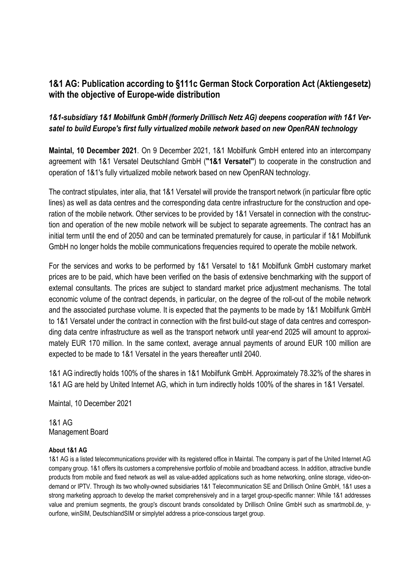## **1&1 AG: Publication according to §111c German Stock Corporation Act (Aktiengesetz) with the objective of Europe-wide distribution**

## *1&1-subsidiary 1&1 Mobilfunk GmbH (formerly Drillisch Netz AG) deepens cooperation with 1&1 Versatel to build Europe's first fully virtualized mobile network based on new OpenRAN technology*

**Maintal, 10 December 2021**. On 9 December 2021, 1&1 Mobilfunk GmbH entered into an intercompany agreement with 1&1 Versatel Deutschland GmbH (**"1&1 Versatel"**) to cooperate in the construction and operation of 1&1's fully virtualized mobile network based on new OpenRAN technology.

The contract stipulates, inter alia, that 1&1 Versatel will provide the transport network (in particular fibre optic lines) as well as data centres and the corresponding data centre infrastructure for the construction and operation of the mobile network. Other services to be provided by 1&1 Versatel in connection with the construction and operation of the new mobile network will be subject to separate agreements. The contract has an initial term until the end of 2050 and can be terminated prematurely for cause, in particular if 1&1 Mobilfunk GmbH no longer holds the mobile communications frequencies required to operate the mobile network.

For the services and works to be performed by 1&1 Versatel to 1&1 Mobilfunk GmbH customary market prices are to be paid, which have been verified on the basis of extensive benchmarking with the support of external consultants. The prices are subject to standard market price adjustment mechanisms. The total economic volume of the contract depends, in particular, on the degree of the roll-out of the mobile network and the associated purchase volume. It is expected that the payments to be made by 1&1 Mobilfunk GmbH to 1&1 Versatel under the contract in connection with the first build-out stage of data centres and corresponding data centre infrastructure as well as the transport network until year-end 2025 will amount to approximately EUR 170 million. In the same context, average annual payments of around EUR 100 million are expected to be made to 1&1 Versatel in the years thereafter until 2040.

1&1 AG indirectly holds 100% of the shares in 1&1 Mobilfunk GmbH. Approximately 78.32% of the shares in 1&1 AG are held by United Internet AG, which in turn indirectly holds 100% of the shares in 1&1 Versatel.

Maintal, 10 December 2021

1&1 AG Management Board

## **About 1&1 AG**

1&1 AG is a listed telecommunications provider with its registered office in Maintal. The company is part of the United Internet AG company group. 1&1 offers its customers a comprehensive portfolio of mobile and broadband access. In addition, attractive bundle products from mobile and fixed network as well as value-added applications such as home networking, online storage, video-ondemand or IPTV. Through its two wholly-owned subsidiaries 1&1 Telecommunication SE and Drillisch Online GmbH, 1&1 uses a strong marketing approach to develop the market comprehensively and in a target group-specific manner: While 1&1 addresses value and premium segments, the group's discount brands consolidated by Drillisch Online GmbH such as smartmobil.de, yourfone, winSIM, DeutschlandSIM or simplytel address a price-conscious target group.